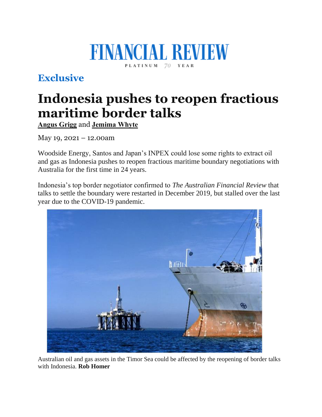## **FINANCIAL REVIEW** PLATINUM 70 YEAR

## **Exclusive**

## **Indonesia pushes to reopen fractious maritime border talks**

**[Angus](https://www.afr.com/by/angus-grigg-j7gbv) Grigg** and **[Jemima](https://www.afr.com/by/jemima-whyte-gkpi1r) Whyte**

May 19, 2021 – 12.00am

Woodside Energy, Santos and Japan's INPEX could lose some rights to extract oil and gas as Indonesia pushes to reopen fractious maritime boundary negotiations with Australia for the first time in 24 years.

Indonesia's top border negotiator confirmed to *The Australian Financial Review* that talks to settle the boundary were restarted in December 2019, but stalled over the last year due to the COVID-19 pandemic.



Australian oil and gas assets in the Timor Sea could be affected by the reopening of border talks with Indonesia. **Rob Homer**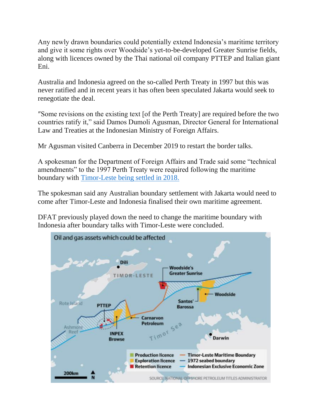Any newly drawn boundaries could potentially extend Indonesia's maritime territory and give it some rights over Woodside's yet-to-be-developed Greater Sunrise fields, along with licences owned by the Thai national oil company PTTEP and Italian giant Eni.

Australia and Indonesia agreed on the so-called Perth Treaty in 1997 but this was never ratified and in recent years it has often been speculated Jakarta would seek to renegotiate the deal.

″Some revisions on the existing text [of the Perth Treaty] are required before the two countries ratify it," said Damos Dumoli Agusman, Director General for International Law and Treaties at the Indonesian Ministry of Foreign Affairs.

Mr Agusman visited Canberra in December 2019 to restart the border talks.

A spokesman for the Department of Foreign Affairs and Trade said some "technical amendments" to the 1997 Perth Treaty were required following the maritime boundary with [Timor-Leste](https://www.dfat.gov.au/geo/timor-leste/australias-maritime-arrangements-with-timor-leste) being settled in 2018.

The spokesman said any Australian boundary settlement with Jakarta would need to come after Timor-Leste and Indonesia finalised their own maritime agreement.

DFAT previously played down the need to change the maritime boundary with Indonesia after boundary talks with Timor-Leste were concluded.

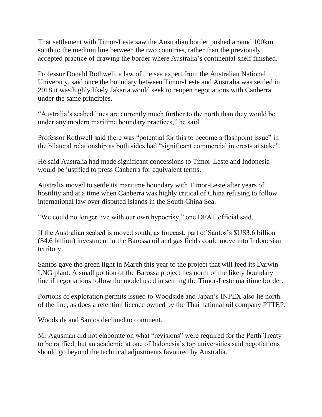That settlement with Timor-Leste saw the Australian border pushed around 100km south to the medium line between the two countries, rather than the previously accepted practice of drawing the border where Australia's continental shelf finished.

Professor Donald Rothwell, a law of the sea expert from the Australian National University, said once the boundary between Timor-Leste and Australia was settled in 2018 it was highly likely Jakarta would seek to reopen negotiations with Canberra under the same principles.

"Australia's seabed lines are currently much further to the north than they would be under any modern maritime boundary practices," he said.

Professor Rothwell said there was "potential for this to become a flashpoint issue" in the bilateral relationship as both sides had "significant commercial interests at stake".

He said Australia had made significant concessions to Timor-Leste and Indonesia would be justified to press Canberra for equivalent terms.

Australia moved to settle its maritime boundary with Timor-Leste after years of hostility and at a time when Canberra was highly critical of China refusing to follow international law over disputed islands in the South China Sea.

"We could no longer live with our own hypocrisy," one DFAT official said.

If the Australian seabed is moved south, as forecast, part of Santos's \$US3.6 billion (\$4.6 billion) investment in the Barossa oil and gas fields could move into Indonesian territory.

Santos gave the green light in March this year to the project that will feed its Darwin LNG plant. A small portion of the Barossa project lies north of the likely boundary line if negotiations follow the model used in settling the Timor-Leste maritime border.

Portions of exploration permits issued to Woodside and Japan's INPEX also lie north of the line, as does a retention licence owned by the Thai national oil company PTTEP.

Woodside and Santos declined to comment.

Mr Agusman did not elaborate on what "revisions" were required for the Perth Treaty to be ratified, but an academic at one of Indonesia's top universities said negotiations should go beyond the technical adjustments favoured by Australia.